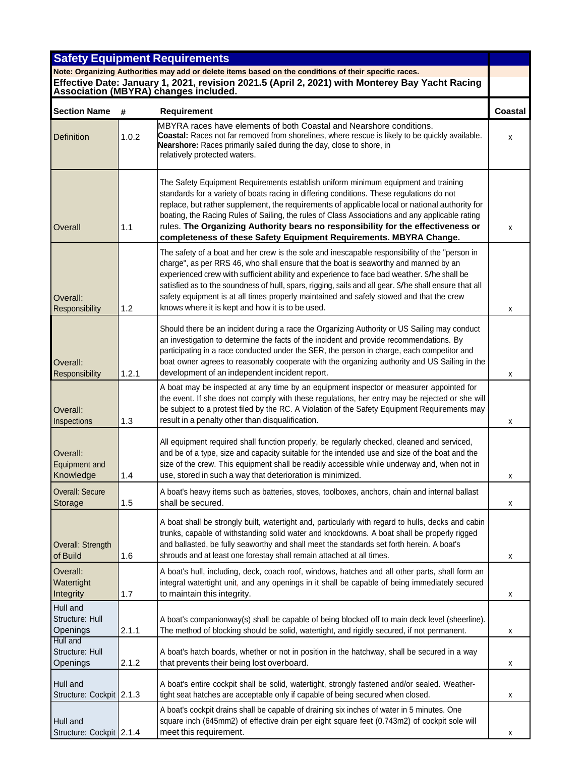|                                               |       | <b>Safety Equipment Requirements</b>                                                                                                                                                                                                                                                                                                                                                                                                                                                                                                           |         |
|-----------------------------------------------|-------|------------------------------------------------------------------------------------------------------------------------------------------------------------------------------------------------------------------------------------------------------------------------------------------------------------------------------------------------------------------------------------------------------------------------------------------------------------------------------------------------------------------------------------------------|---------|
|                                               |       | Note: Organizing Authorities may add or delete items based on the conditions of their specific races.<br>Effective Date: January 1, 2021, revision 2021.5 (April 2, 2021) with Monterey Bay Yacht Racing<br><b>Association (MBYRA) changes included.</b>                                                                                                                                                                                                                                                                                       |         |
| <b>Section Name</b>                           | #     | <b>Requirement</b>                                                                                                                                                                                                                                                                                                                                                                                                                                                                                                                             | Coastal |
| <b>Definition</b>                             | 1.0.2 | MBYRA races have elements of both Coastal and Nearshore conditions.<br><b>Coastal:</b> Races not far removed from shorelines, where rescue is likely to be quickly available.<br>Nearshore: Races primarily sailed during the day, close to shore, in<br>relatively protected waters.                                                                                                                                                                                                                                                          | x       |
| Overall                                       | 1.1   | The Safety Equipment Requirements establish uniform minimum equipment and training<br>standards for a variety of boats racing in differing conditions. These regulations do not<br>replace, but rather supplement, the requirements of applicable local or national authority for<br>boating, the Racing Rules of Sailing, the rules of Class Associations and any applicable rating<br>rules. The Organizing Authority bears no responsibility for the effectiveness or<br>completeness of these Safety Equipment Requirements. MBYRA Change. | x       |
| Overall:<br>Responsibility                    | 1.2   | The safety of a boat and her crew is the sole and inescapable responsibility of the "person in<br>charge", as per RRS 46, who shall ensure that the boat is seaworthy and manned by an<br>experienced crew with sufficient ability and experience to face bad weather. S/he shall be<br>satisfied as to the soundness of hull, spars, rigging, sails and all gear. S/he shall ensure that all<br>safety equipment is at all times properly maintained and safely stowed and that the crew<br>knows where it is kept and how it is to be used.  | x       |
| Overall:<br>Responsibility                    | 1.2.1 | Should there be an incident during a race the Organizing Authority or US Sailing may conduct<br>an investigation to determine the facts of the incident and provide recommendations. By<br>participating in a race conducted under the SER, the person in charge, each competitor and<br>boat owner agrees to reasonably cooperate with the organizing authority and US Sailing in the<br>development of an independent incident report.                                                                                                       | х       |
| Overall:<br>Inspections                       | 1.3   | A boat may be inspected at any time by an equipment inspector or measurer appointed for<br>the event. If she does not comply with these regulations, her entry may be rejected or she will<br>be subject to a protest filed by the RC. A Violation of the Safety Equipment Requirements may<br>result in a penalty other than disqualification.                                                                                                                                                                                                | x       |
| Overall:<br><b>Equipment and</b><br>Knowledge | 1.4   | All equipment required shall function properly, be regularly checked, cleaned and serviced,<br>and be of a type, size and capacity suitable for the intended use and size of the boat and the<br>size of the crew. This equipment shall be readily accessible while underway and, when not in<br>use, stored in such a way that deterioration is minimized.                                                                                                                                                                                    | х       |
| <b>Overall: Secure</b><br>Storage             | 1.5   | A boat's heavy items such as batteries, stoves, toolboxes, anchors, chain and internal ballast<br>shall be secured.                                                                                                                                                                                                                                                                                                                                                                                                                            | x       |
| Overall: Strength<br>of Build                 | 1.6   | A boat shall be strongly built, watertight and, particularly with regard to hulls, decks and cabin<br>trunks, capable of withstanding solid water and knockdowns. A boat shall be properly rigged<br>and ballasted, be fully seaworthy and shall meet the standards set forth herein. A boat's<br>shrouds and at least one forestay shall remain attached at all times.                                                                                                                                                                        | x       |
| Overall:<br>Watertight<br>Integrity           | 1.7   | A boat's hull, including, deck, coach roof, windows, hatches and all other parts, shall form an<br>integral watertight unit, and any openings in it shall be capable of being immediately secured<br>to maintain this integrity.                                                                                                                                                                                                                                                                                                               | x       |
| Hull and<br>Structure: Hull<br>Openings       | 2.1.1 | A boat's companionway(s) shall be capable of being blocked off to main deck level (sheerline).<br>The method of blocking should be solid, watertight, and rigidly secured, if not permanent.                                                                                                                                                                                                                                                                                                                                                   | х       |
| Hull and<br>Structure: Hull<br>Openings       | 2.1.2 | A boat's hatch boards, whether or not in position in the hatchway, shall be secured in a way<br>that prevents their being lost overboard.                                                                                                                                                                                                                                                                                                                                                                                                      | х       |
| Hull and<br>Structure: Cockpit 2.1.3          |       | A boat's entire cockpit shall be solid, watertight, strongly fastened and/or sealed. Weather-<br>tight seat hatches are acceptable only if capable of being secured when closed.                                                                                                                                                                                                                                                                                                                                                               | x       |
| Hull and<br>Structure: Cockpit 2.1.4          |       | A boat's cockpit drains shall be capable of draining six inches of water in 5 minutes. One<br>square inch (645mm2) of effective drain per eight square feet (0.743m2) of cockpit sole will<br>meet this requirement.                                                                                                                                                                                                                                                                                                                           | х       |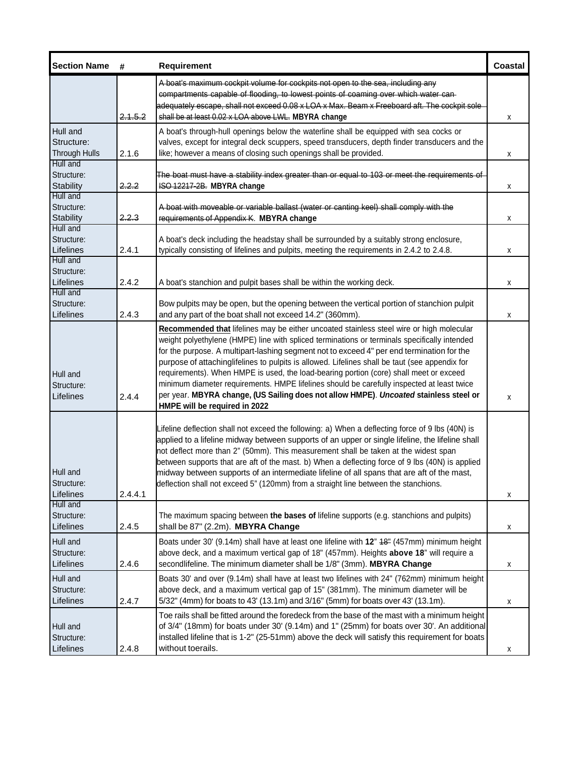| <b>Section Name</b>                            | #       | <b>Requirement</b>                                                                                                                                                                                                                                                                                                                                                                                                                                                                                                                                                                                                                                                                                        | <b>Coastal</b> |
|------------------------------------------------|---------|-----------------------------------------------------------------------------------------------------------------------------------------------------------------------------------------------------------------------------------------------------------------------------------------------------------------------------------------------------------------------------------------------------------------------------------------------------------------------------------------------------------------------------------------------------------------------------------------------------------------------------------------------------------------------------------------------------------|----------------|
|                                                |         | A boat's maximum cockpit volume for cockpits not open to the sea, including any<br>compartments capable of flooding, to lowest points of coaming over which water can-<br>adequately escape, shall not exceed 0.08 x LOA x Max. Beam x Freeboard aft. The cockpit sole                                                                                                                                                                                                                                                                                                                                                                                                                                    |                |
|                                                | 2.1.5.2 | shall be at least 0.02 x LOA above LWL. MBYRA change                                                                                                                                                                                                                                                                                                                                                                                                                                                                                                                                                                                                                                                      | х              |
| Hull and<br>Structure:<br><b>Through Hulls</b> | 2.1.6   | A boat's through-hull openings below the waterline shall be equipped with sea cocks or<br>valves, except for integral deck scuppers, speed transducers, depth finder transducers and the<br>like; however a means of closing such openings shall be provided.                                                                                                                                                                                                                                                                                                                                                                                                                                             | х              |
| Hull and<br>Structure:<br>Stability            | 2.2.2   | The boat must have a stability index greater than or equal to 103 or meet the requirements of<br>ISO 12217-2B. MBYRA change                                                                                                                                                                                                                                                                                                                                                                                                                                                                                                                                                                               | X              |
| Hull and<br>Structure:<br><b>Stability</b>     | 2.2.3   | A boat with moveable or variable ballast (water or canting keel) shall comply with the<br>requirements of Appendix K. MBYRA change                                                                                                                                                                                                                                                                                                                                                                                                                                                                                                                                                                        | X              |
| Hull and<br>Structure:<br>Lifelines            | 2.4.1   | A boat's deck including the headstay shall be surrounded by a suitably strong enclosure,<br>typically consisting of lifelines and pulpits, meeting the requirements in 2.4.2 to 2.4.8.                                                                                                                                                                                                                                                                                                                                                                                                                                                                                                                    | X              |
| Hull and<br>Structure:<br>Lifelines            | 2.4.2   | A boat's stanchion and pulpit bases shall be within the working deck.                                                                                                                                                                                                                                                                                                                                                                                                                                                                                                                                                                                                                                     | X              |
| Hull and<br>Structure:<br>Lifelines            | 2.4.3   | Bow pulpits may be open, but the opening between the vertical portion of stanchion pulpit<br>and any part of the boat shall not exceed 14.2" (360mm).                                                                                                                                                                                                                                                                                                                                                                                                                                                                                                                                                     | X              |
| Hull and<br>Structure:<br>Lifelines            | 2.4.4   | Recommended that lifelines may be either uncoated stainless steel wire or high molecular<br>weight polyethylene (HMPE) line with spliced terminations or terminals specifically intended<br>for the purpose. A multipart-lashing segment not to exceed 4" per end termination for the<br>purpose of attachinglifelines to pulpits is allowed. Lifelines shall be taut (see appendix for<br>requirements). When HMPE is used, the load-bearing portion (core) shall meet or exceed<br>minimum diameter requirements. HMPE lifelines should be carefully inspected at least twice<br>per year. MBYRA change, (US Sailing does not allow HMPE). Uncoated stainless steel or<br>HMPE will be required in 2022 | X              |
| Hull and<br>Structure:<br>Lifelines            | 2.4.4.1 | Lifeline deflection shall not exceed the following: a) When a deflecting force of 9 lbs (40N) is<br>applied to a lifeline midway between supports of an upper or single lifeline, the lifeline shall<br>not deflect more than 2" (50mm). This measurement shall be taken at the widest span<br>between supports that are aft of the mast. b) When a deflecting force of 9 lbs (40N) is applied<br>midway between supports of an intermediate lifeline of all spans that are aft of the mast,<br>deflection shall not exceed 5" (120mm) from a straight line between the stanchions.                                                                                                                       | X              |
| Hull and<br>Structure:<br>Lifelines            | 2.4.5   | The maximum spacing between the bases of lifeline supports (e.g. stanchions and pulpits)<br>shall be 87" (2.2m). MBYRA Change                                                                                                                                                                                                                                                                                                                                                                                                                                                                                                                                                                             | х              |
| Hull and<br>Structure:<br>Lifelines            | 2.4.6   | Boats under 30' (9.14m) shall have at least one lifeline with 12" 48" (457mm) minimum height<br>above deck, and a maximum vertical gap of 18" (457mm). Heights above 18" will require a<br>secondlifeline. The minimum diameter shall be 1/8" (3mm). MBYRA Change                                                                                                                                                                                                                                                                                                                                                                                                                                         | х              |
| Hull and<br>Structure:<br>Lifelines            | 2.4.7   | Boats 30' and over (9.14m) shall have at least two lifelines with 24" (762mm) minimum height<br>above deck, and a maximum vertical gap of 15" (381mm). The minimum diameter will be<br>5/32" (4mm) for boats to 43' (13.1m) and 3/16" (5mm) for boats over 43' (13.1m).                                                                                                                                                                                                                                                                                                                                                                                                                                   | х              |
| Hull and<br>Structure:<br>Lifelines            | 2.4.8   | Toe rails shall be fitted around the foredeck from the base of the mast with a minimum height<br>of 3/4" (18mm) for boats under 30' (9.14m) and 1" (25mm) for boats over 30'. An additional<br>installed lifeline that is 1-2" (25-51mm) above the deck will satisfy this requirement for boats<br>without toerails.                                                                                                                                                                                                                                                                                                                                                                                      | х              |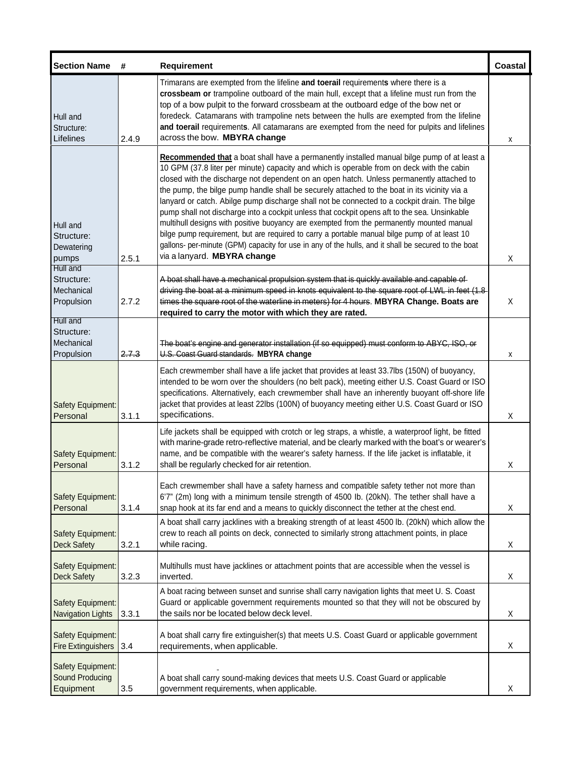| <b>Section Name</b>                                | #     | Requirement                                                                                                                                                                                                                                                                                                                                                                                                                                                                                                                                                                                                                                                                                                                                                                                                                                                                                                             | Coastal |
|----------------------------------------------------|-------|-------------------------------------------------------------------------------------------------------------------------------------------------------------------------------------------------------------------------------------------------------------------------------------------------------------------------------------------------------------------------------------------------------------------------------------------------------------------------------------------------------------------------------------------------------------------------------------------------------------------------------------------------------------------------------------------------------------------------------------------------------------------------------------------------------------------------------------------------------------------------------------------------------------------------|---------|
| Hull and<br>Structure:<br>Lifelines                | 2.4.9 | Trimarans are exempted from the lifeline and toerail requirements where there is a<br>crossbeam or trampoline outboard of the main hull, except that a lifeline must run from the<br>top of a bow pulpit to the forward crossbeam at the outboard edge of the bow net or<br>foredeck. Catamarans with trampoline nets between the hulls are exempted from the lifeline<br>and toerail requirements. All catamarans are exempted from the need for pulpits and lifelines<br>across the bow. MBYRA change                                                                                                                                                                                                                                                                                                                                                                                                                 | x       |
| Hull and<br>Structure:<br>Dewatering<br>pumps      | 2.5.1 | Recommended that a boat shall have a permanently installed manual bilge pump of at least a<br>10 GPM (37.8 liter per minute) capacity and which is operable from on deck with the cabin<br>closed with the discharge not dependent on an open hatch. Unless permanently attached to<br>the pump, the bilge pump handle shall be securely attached to the boat in its vicinity via a<br>lanyard or catch. Abilge pump discharge shall not be connected to a cockpit drain. The bilge<br>pump shall not discharge into a cockpit unless that cockpit opens aft to the sea. Unsinkable<br>multihull designs with positive buoyancy are exempted from the permanently mounted manual<br>bilge pump requirement, but are required to carry a portable manual bilge pump of at least 10<br>gallons- per-minute (GPM) capacity for use in any of the hulls, and it shall be secured to the boat<br>via a lanyard. MBYRA change | X       |
| Hull and<br>Structure:<br>Mechanical<br>Propulsion | 2.7.2 | A boat shall have a mechanical propulsion system that is quickly available and capable of<br>driving the boat at a minimum speed in knots equivalent to the square root of LWL in feet (1.8<br>times the square root of the waterline in meters) for 4 hours. MBYRA Change. Boats are<br>required to carry the motor with which they are rated.                                                                                                                                                                                                                                                                                                                                                                                                                                                                                                                                                                         | X       |
| Hull and<br>Structure:<br>Mechanical<br>Propulsion | 2.7.3 | The boat's engine and generator installation (if so equipped) must conform to ABYC, ISO, or<br>U.S. Coast Guard standards. MBYRA change                                                                                                                                                                                                                                                                                                                                                                                                                                                                                                                                                                                                                                                                                                                                                                                 | х       |
| Safety Equipment:<br>Personal                      | 3.1.1 | Each crewmember shall have a life jacket that provides at least 33.7lbs (150N) of buoyancy,<br>intended to be worn over the shoulders (no belt pack), meeting either U.S. Coast Guard or ISO<br>specifications. Alternatively, each crewmember shall have an inherently buoyant off-shore life<br>jacket that provides at least 22lbs (100N) of buoyancy meeting either U.S. Coast Guard or ISO<br>specifications.                                                                                                                                                                                                                                                                                                                                                                                                                                                                                                      | X       |
| <b>Safety Equipment:</b><br>Personal               | 3.1.2 | Life jackets shall be equipped with crotch or leg straps, a whistle, a waterproof light, be fitted<br>with marine-grade retro-reflective material, and be clearly marked with the boat's or wearer's<br>name, and be compatible with the wearer's safety harness. If the life jacket is inflatable, it<br>shall be regularly checked for air retention.                                                                                                                                                                                                                                                                                                                                                                                                                                                                                                                                                                 | Χ       |
| Safety Equipment:<br>Personal                      | 3.1.4 | Each crewmember shall have a safety harness and compatible safety tether not more than<br>6'7" (2m) long with a minimum tensile strength of 4500 lb. (20kN). The tether shall have a<br>snap hook at its far end and a means to quickly disconnect the tether at the chest end.                                                                                                                                                                                                                                                                                                                                                                                                                                                                                                                                                                                                                                         | X       |
| Safety Equipment:<br><b>Deck Safety</b>            | 3.2.1 | A boat shall carry jacklines with a breaking strength of at least 4500 lb. (20kN) which allow the<br>crew to reach all points on deck, connected to similarly strong attachment points, in place<br>while racing.                                                                                                                                                                                                                                                                                                                                                                                                                                                                                                                                                                                                                                                                                                       | Χ       |
| Safety Equipment:<br><b>Deck Safety</b>            | 3.2.3 | Multihulls must have jacklines or attachment points that are accessible when the vessel is<br>inverted.                                                                                                                                                                                                                                                                                                                                                                                                                                                                                                                                                                                                                                                                                                                                                                                                                 | X       |
| Safety Equipment:<br><b>Navigation Lights</b>      | 3.3.1 | A boat racing between sunset and sunrise shall carry navigation lights that meet U. S. Coast<br>Guard or applicable government requirements mounted so that they will not be obscured by<br>the sails nor be located below deck level.                                                                                                                                                                                                                                                                                                                                                                                                                                                                                                                                                                                                                                                                                  | Χ       |
| Safety Equipment:<br><b>Fire Extinguishers</b>     | 3.4   | A boat shall carry fire extinguisher(s) that meets U.S. Coast Guard or applicable government<br>requirements, when applicable.                                                                                                                                                                                                                                                                                                                                                                                                                                                                                                                                                                                                                                                                                                                                                                                          | Χ       |
| Safety Equipment:<br>Sound Producing<br>Equipment  | 3.5   | A boat shall carry sound-making devices that meets U.S. Coast Guard or applicable<br>government requirements, when applicable.                                                                                                                                                                                                                                                                                                                                                                                                                                                                                                                                                                                                                                                                                                                                                                                          | X       |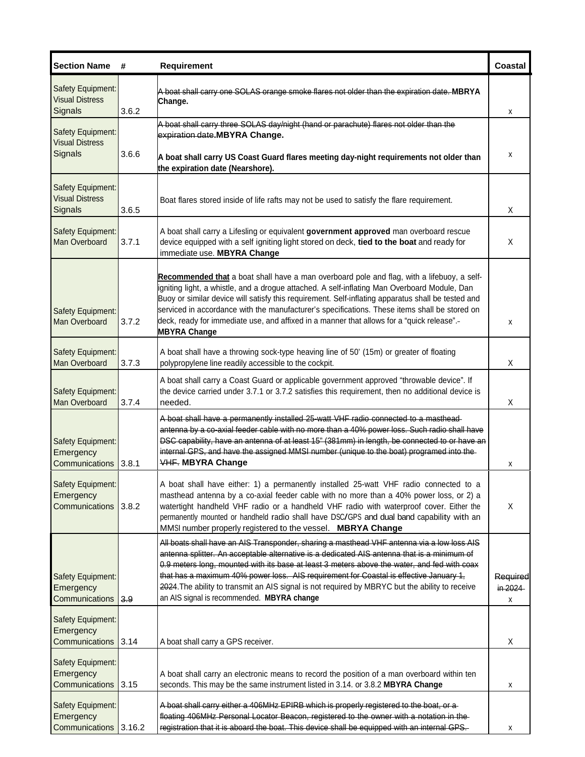| <b>Section Name</b>                                           | #      | <b>Requirement</b>                                                                                                                                                                                                                                                                                                                                                                                                                                                                                                                  | Coastal                         |
|---------------------------------------------------------------|--------|-------------------------------------------------------------------------------------------------------------------------------------------------------------------------------------------------------------------------------------------------------------------------------------------------------------------------------------------------------------------------------------------------------------------------------------------------------------------------------------------------------------------------------------|---------------------------------|
| Safety Equipment:<br><b>Visual Distress</b><br>Signals        | 3.6.2  | A boat shall carry one SOLAS orange smoke flares not older than the expiration date. MBRYA<br>Change.                                                                                                                                                                                                                                                                                                                                                                                                                               | х                               |
| Safety Equipment:                                             |        | A boat shall carry three SOLAS day/night (hand or parachute) flares not older than the<br>expiration date.MBYRA Change.                                                                                                                                                                                                                                                                                                                                                                                                             |                                 |
| <b>Visual Distress</b><br>Signals                             | 3.6.6  | A boat shall carry US Coast Guard flares meeting day-night requirements not older than<br>the expiration date (Nearshore).                                                                                                                                                                                                                                                                                                                                                                                                          | x                               |
| <b>Safety Equipment:</b><br><b>Visual Distress</b><br>Signals | 3.6.5  | Boat flares stored inside of life rafts may not be used to satisfy the flare requirement.                                                                                                                                                                                                                                                                                                                                                                                                                                           | X                               |
| Safety Equipment:<br>Man Overboard                            | 3.7.1  | A boat shall carry a Lifesling or equivalent government approved man overboard rescue<br>device equipped with a self igniting light stored on deck, tied to the boat and ready for<br>immediate use. MBYRA Change                                                                                                                                                                                                                                                                                                                   | X                               |
| Safety Equipment:<br>Man Overboard                            | 3.7.2  | Recommended that a boat shall have a man overboard pole and flag, with a lifebuoy, a self-<br>igniting light, a whistle, and a drogue attached. A self-inflating Man Overboard Module, Dan<br>Buoy or similar device will satisfy this requirement. Self-inflating apparatus shall be tested and<br>serviced in accordance with the manufacturer's specifications. These items shall be stored on<br>deck, ready for immediate use, and affixed in a manner that allows for a "quick release".<br><b>MBYRA Change</b>               | x                               |
| Safety Equipment:<br>Man Overboard                            | 3.7.3  | A boat shall have a throwing sock-type heaving line of 50' (15m) or greater of floating<br>polypropylene line readily accessible to the cockpit.                                                                                                                                                                                                                                                                                                                                                                                    | Χ                               |
| Safety Equipment:<br>Man Overboard                            | 3.7.4  | A boat shall carry a Coast Guard or applicable government approved "throwable device". If<br>the device carried under 3.7.1 or 3.7.2 satisfies this requirement, then no additional device is<br>needed.                                                                                                                                                                                                                                                                                                                            | Χ                               |
| Safety Equipment:<br>Emergency<br>Communications              | 3.8.1  | A boat shall have a permanently installed 25-watt VHF radio connected to a masthead-<br>antenna by a co-axial feeder cable with no more than a 40% power loss. Such radio shall have<br>DSC capability, have an antenna of at least 15" (381mm) in length, be connected to or have an<br>internal GPS, and have the assigned MMSI number (unique to the boat) programed into the<br><b>VHF. MBYRA Change</b>                                                                                                                        | х                               |
| Safety Equipment:<br>Emergency<br>Communications              | 3.8.2  | A boat shall have either: 1) a permanently installed 25-watt VHF radio connected to a<br>masthead antenna by a co-axial feeder cable with no more than a 40% power loss, or 2) a<br>watertight handheld VHF radio or a handheld VHF radio with waterproof cover. Either the<br>permanently mounted or handheld radio shall have DSC/GPS and dual band capability with an<br>MMSI number properly registered to the vessel. MBRYA Change                                                                                             | X                               |
| Safety Equipment:<br>Emergency<br>Communications              | 3.9    | All boats shall have an AIS Transponder, sharing a masthead VHF antenna via a low loss AIS<br>antenna splitter. An acceptable alternative is a dedicated AIS antenna that is a minimum of<br>0.9 meters long, mounted with its base at least 3 meters above the water, and fed with coax<br>that has a maximum 40% power loss. AIS requirement for Coastal is effective January 1,<br>2024. The ability to transmit an AIS signal is not required by MBRYC but the ability to receive<br>an AIS signal is recommended. MBYRA change | <b>Required</b><br>in 2024<br>х |
| Safety Equipment:<br>Emergency<br>Communications              | 3.14   | A boat shall carry a GPS receiver.                                                                                                                                                                                                                                                                                                                                                                                                                                                                                                  | Χ                               |
| Safety Equipment:<br>Emergency                                |        | A boat shall carry an electronic means to record the position of a man overboard within ten                                                                                                                                                                                                                                                                                                                                                                                                                                         |                                 |
| Communications                                                | 3.15   | seconds. This may be the same instrument listed in 3.14. or 3.8.2 MBYRA Change                                                                                                                                                                                                                                                                                                                                                                                                                                                      | x                               |
| Safety Equipment:<br>Emergency<br>Communications              | 3.16.2 | A boat shall carry either a 406MHz EPIRB which is properly registered to the boat, or a<br>floating 406MHz Personal Locator Beacon, registered to the owner with a notation in the<br>registration that it is aboard the boat. This device shall be equipped with an internal GPS.                                                                                                                                                                                                                                                  | х                               |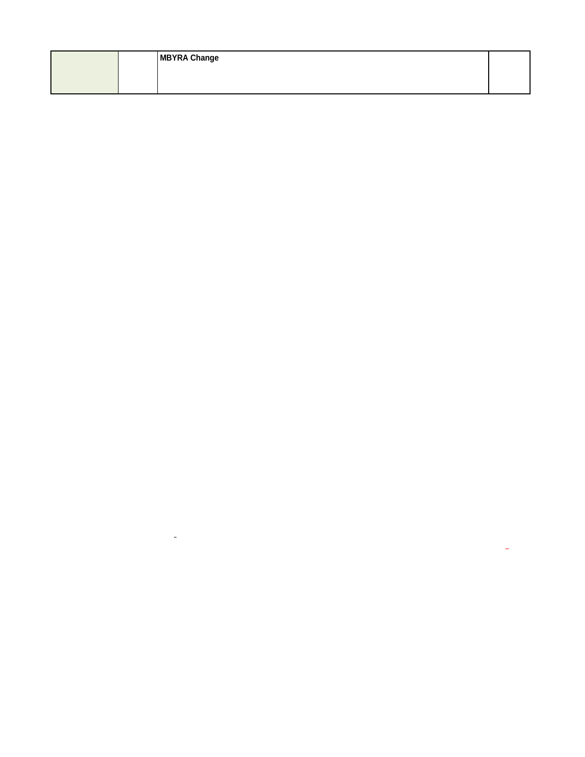|  | <b>MBYRA Change</b> |  |
|--|---------------------|--|
|  |                     |  |
|  |                     |  |

 $\mathcal{L}(\mathcal{L}^{\mathcal{L}})$  , and  $\mathcal{L}^{\mathcal{L}}$  , and  $\mathcal{L}^{\mathcal{L}}$ 

 $\mathcal{L}^{\text{max}}_{\text{max}}$  , where  $\mathcal{L}^{\text{max}}_{\text{max}}$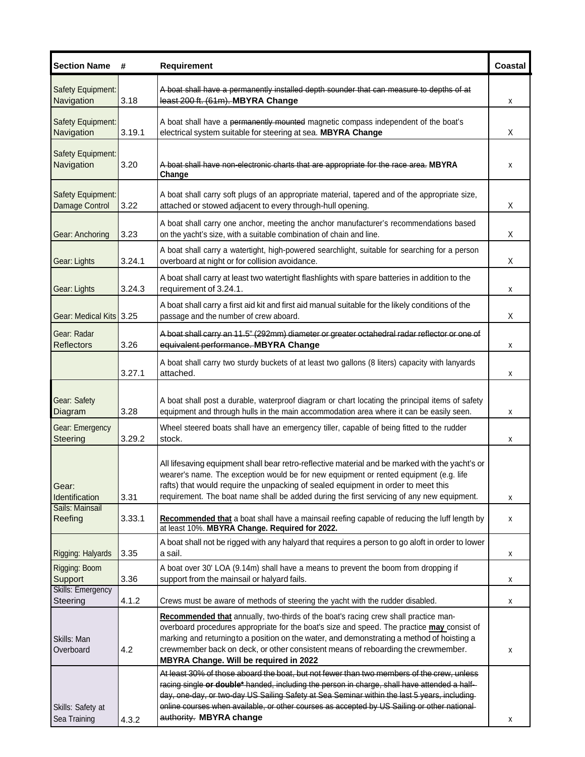| <b>Section Name</b>                        | #      | <b>Requirement</b>                                                                                                                                                                                                                                                                                                                                                                                                    | Coastal |
|--------------------------------------------|--------|-----------------------------------------------------------------------------------------------------------------------------------------------------------------------------------------------------------------------------------------------------------------------------------------------------------------------------------------------------------------------------------------------------------------------|---------|
| Safety Equipment:<br>Navigation            | 3.18   | A boat shall have a permanently installed depth sounder that can measure to depths of at<br>least 200 ft. (61m). MBYRA Change                                                                                                                                                                                                                                                                                         | х       |
| Safety Equipment:<br>Navigation            | 3.19.1 | A boat shall have a permanently mounted magnetic compass independent of the boat's<br>electrical system suitable for steering at sea. MBYRA Change                                                                                                                                                                                                                                                                    | Χ       |
| Safety Equipment:<br>Navigation            | 3.20   | A boat shall have non-electronic charts that are appropriate for the race area. MBYRA<br>Change                                                                                                                                                                                                                                                                                                                       | x       |
| <b>Safety Equipment:</b><br>Damage Control | 3.22   | A boat shall carry soft plugs of an appropriate material, tapered and of the appropriate size,<br>attached or stowed adjacent to every through-hull opening.                                                                                                                                                                                                                                                          | X       |
| Gear: Anchoring                            | 3.23   | A boat shall carry one anchor, meeting the anchor manufacturer's recommendations based<br>on the yacht's size, with a suitable combination of chain and line.                                                                                                                                                                                                                                                         | Χ       |
| Gear: Lights                               | 3.24.1 | A boat shall carry a watertight, high-powered searchlight, suitable for searching for a person<br>overboard at night or for collision avoidance.                                                                                                                                                                                                                                                                      | Χ       |
| Gear: Lights                               | 3.24.3 | A boat shall carry at least two watertight flashlights with spare batteries in addition to the<br>requirement of 3.24.1.                                                                                                                                                                                                                                                                                              | x       |
| Gear: Medical Kits 3.25                    |        | A boat shall carry a first aid kit and first aid manual suitable for the likely conditions of the<br>passage and the number of crew aboard.                                                                                                                                                                                                                                                                           | Χ       |
| Gear: Radar<br><b>Reflectors</b>           | 3.26   | A boat shall carry an 11.5" (292mm) diameter or greater octahedral radar reflector or one of<br>equivalent performance. MBYRA Change                                                                                                                                                                                                                                                                                  | х       |
|                                            | 3.27.1 | A boat shall carry two sturdy buckets of at least two gallons (8 liters) capacity with lanyards<br>attached.                                                                                                                                                                                                                                                                                                          | х       |
| Gear: Safety<br>Diagram                    | 3.28   | A boat shall post a durable, waterproof diagram or chart locating the principal items of safety<br>equipment and through hulls in the main accommodation area where it can be easily seen.                                                                                                                                                                                                                            | X       |
| Gear: Emergency<br><b>Steering</b>         | 3.29.2 | Wheel steered boats shall have an emergency tiller, capable of being fitted to the rudder<br>stock.                                                                                                                                                                                                                                                                                                                   | х       |
| Gear:<br>Identification                    | 3.31   | All lifesaving equipment shall bear retro-reflective material and be marked with the yacht's or<br>wearer's name. The exception would be for new equipment or rented equipment (e.g. life<br>rafts) that would require the unpacking of sealed equipment in order to meet this<br>requirement. The boat name shall be added during the first servicing of any new equipment.                                          | x       |
| Sails: Mainsail<br>Reefing                 | 3.33.1 | Recommended that a boat shall have a mainsail reefing capable of reducing the luff length by<br>at least 10%. MBYRA Change. Required for 2022.                                                                                                                                                                                                                                                                        | x       |
| Rigging: Halyards                          | 3.35   | A boat shall not be rigged with any halyard that requires a person to go aloft in order to lower<br>a sail.                                                                                                                                                                                                                                                                                                           | х       |
| Rigging: Boom<br>Support                   | 3.36   | A boat over 30' LOA (9.14m) shall have a means to prevent the boom from dropping if<br>support from the mainsail or halyard fails.                                                                                                                                                                                                                                                                                    | х       |
| <b>Skills: Emergency</b><br>Steering       | 4.1.2  | Crews must be aware of methods of steering the yacht with the rudder disabled.                                                                                                                                                                                                                                                                                                                                        | x       |
| Skills: Man<br>Overboard                   | 4.2    | Recommended that annually, two-thirds of the boat's racing crew shall practice man-<br>overboard procedures appropriate for the boat's size and speed. The practice may consist of<br>marking and returningto a position on the water, and demonstrating a method of hoisting a<br>crewmember back on deck, or other consistent means of reboarding the crewmember.<br>MBYRA Change. Will be required in 2022         | х       |
| Skills: Safety at<br>Sea Training          | 4.3.2  | At least 30% of those aboard the boat, but not fewer than two members of the crew, unless<br>racing single or double* handed, including the person in charge, shall have attended a half-<br>day, one-day, or two-day US Sailing Safety at Sea Seminar within the last 5 years, including-<br>online courses when available, or other courses as accepted by US Sailing or other national-<br>authority. MBYRA change | х       |